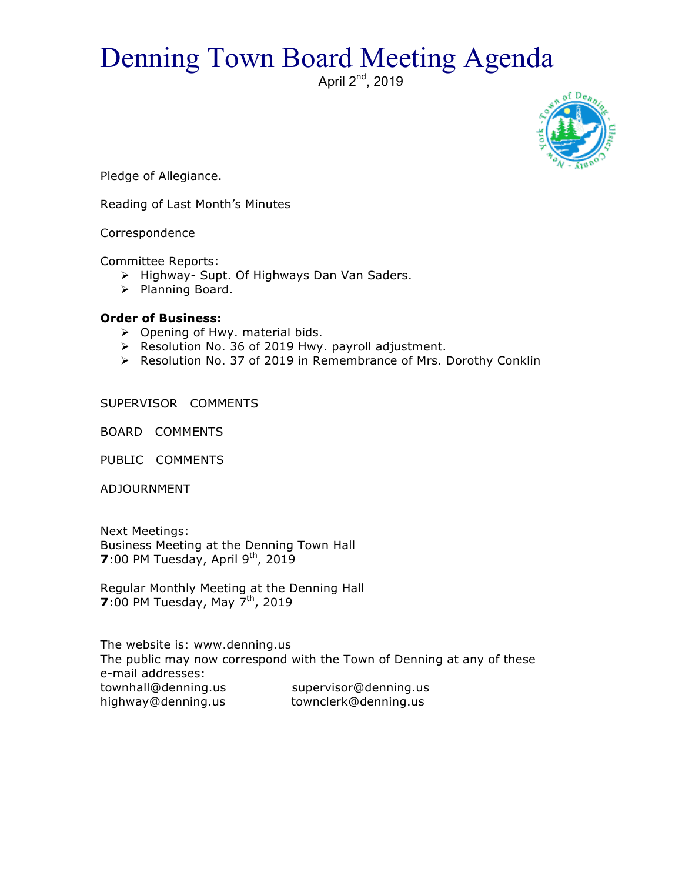## Denning Town Board Meeting Agenda

April 2<sup>nd</sup>, 2019



Pledge of Allegiance.

Reading of Last Month's Minutes

Correspondence

Committee Reports:

- > Highway- Supt. Of Highways Dan Van Saders.
- > Planning Board.

## **Order of Business:**

- $\triangleright$  Opening of Hwy. material bids.
- $\triangleright$  Resolution No. 36 of 2019 Hwy. payroll adjustment.
- $\triangleright$  Resolution No. 37 of 2019 in Remembrance of Mrs. Dorothy Conklin

SUPERVISOR COMMENTS

BOARD COMMENTS

PUBLIC COMMENTS

ADJOURNMENT

Next Meetings: Business Meeting at the Denning Town Hall **7**:00 PM Tuesday, April 9<sup>th</sup>, 2019

Regular Monthly Meeting at the Denning Hall **7**:00 PM Tuesday, May 7<sup>th</sup>, 2019

The website is: www.denning.us The public may now correspond with the Town of Denning at any of these e-mail addresses: townhall@denning.us supervisor@denning.us highway@denning.us townclerk@denning.us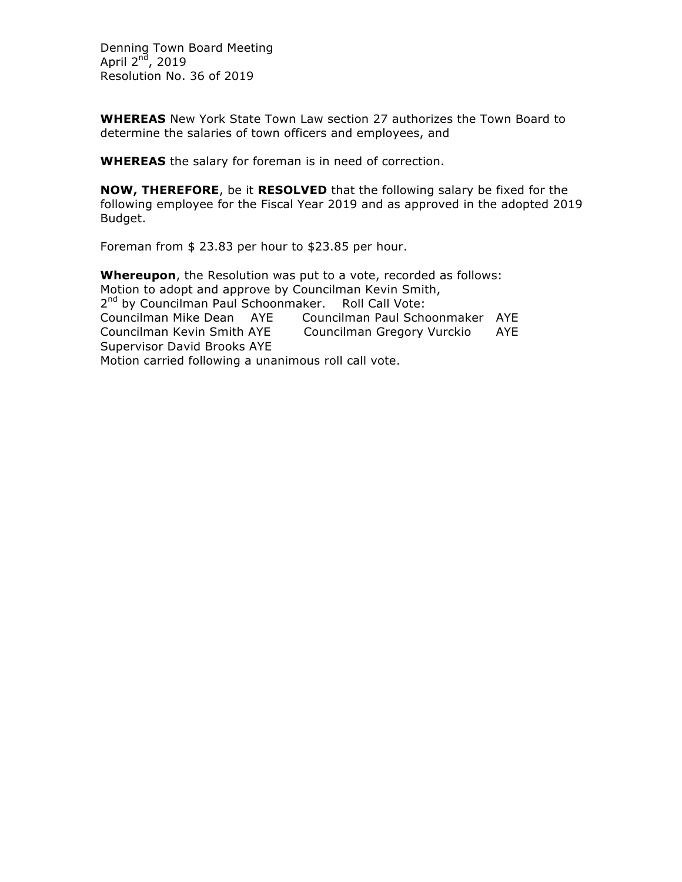Denning Town Board Meeting April  $2<sup>nd</sup>$ , 2019 Resolution No. 36 of 2019

**WHEREAS** New York State Town Law section 27 authorizes the Town Board to determine the salaries of town officers and employees, and

**WHEREAS** the salary for foreman is in need of correction.

**NOW, THEREFORE**, be it **RESOLVED** that the following salary be fixed for the following employee for the Fiscal Year 2019 and as approved in the adopted 2019 Budget.

Foreman from \$ 23.83 per hour to \$23.85 per hour.

**Whereupon**, the Resolution was put to a vote, recorded as follows: Motion to adopt and approve by Councilman Kevin Smith, 2<sup>nd</sup> by Councilman Paul Schoonmaker. Roll Call Vote: Councilman Mike Dean AYE Councilman Paul Schoonmaker AYE Councilman Kevin Smith AYE Councilman Gregory Vurckio AYE Supervisor David Brooks AYE Motion carried following a unanimous roll call vote.